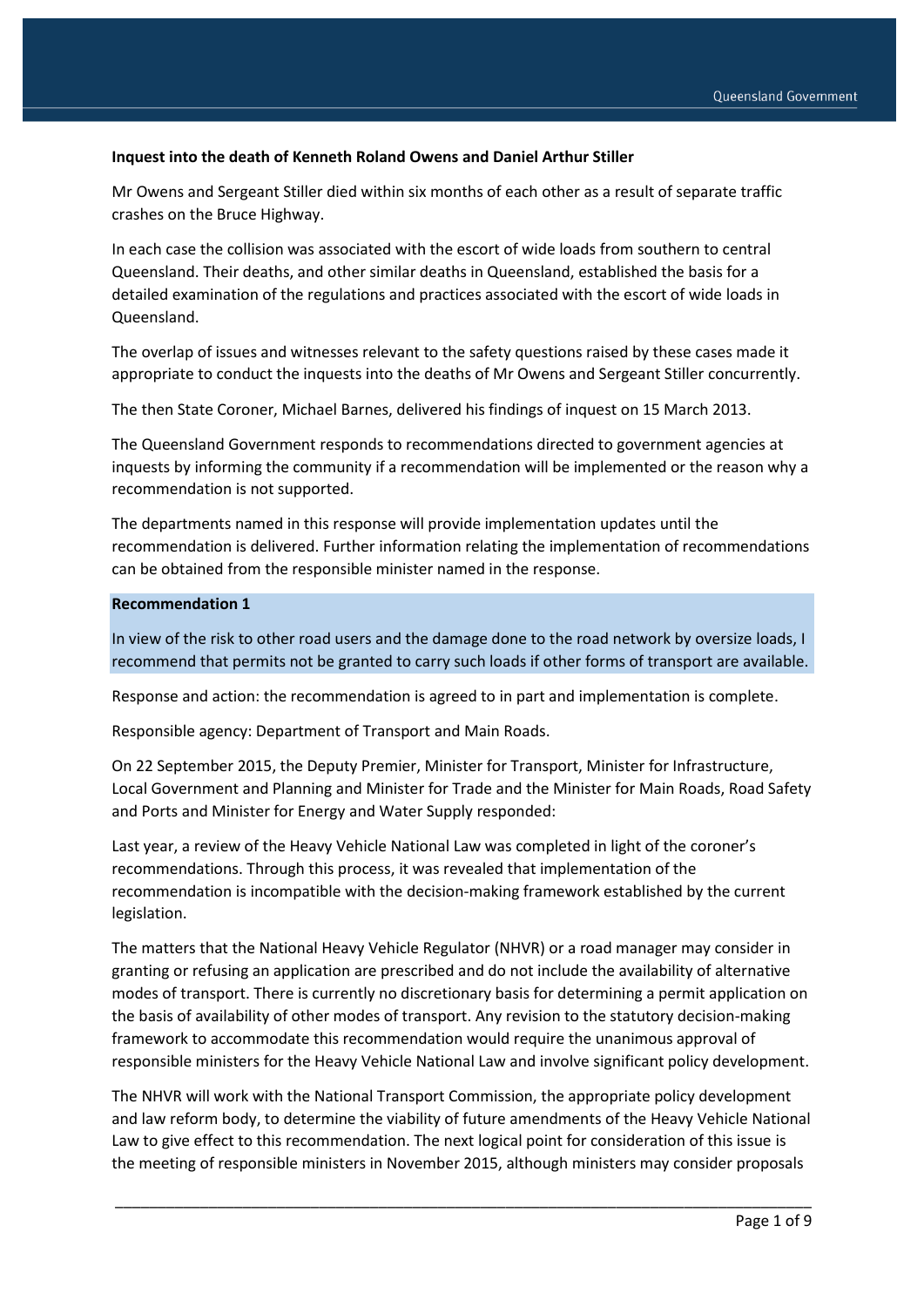### **Inquest into the death of Kenneth Roland Owens and Daniel Arthur Stiller**

Mr Owens and Sergeant Stiller died within six months of each other as a result of separate traffic crashes on the Bruce Highway.

In each case the collision was associated with the escort of wide loads from southern to central Queensland. Their deaths, and other similar deaths in Queensland, established the basis for a detailed examination of the regulations and practices associated with the escort of wide loads in Queensland.

The overlap of issues and witnesses relevant to the safety questions raised by these cases made it appropriate to conduct the inquests into the deaths of Mr Owens and Sergeant Stiller concurrently.

The then State Coroner, Michael Barnes, delivered his findings of inquest on 15 March 2013.

The Queensland Government responds to recommendations directed to government agencies at inquests by informing the community if a recommendation will be implemented or the reason why a recommendation is not supported.

The departments named in this response will provide implementation updates until the recommendation is delivered. Further information relating the implementation of recommendations can be obtained from the responsible minister named in the response.

#### **Recommendation 1**

In view of the risk to other road users and the damage done to the road network by oversize loads, I recommend that permits not be granted to carry such loads if other forms of transport are available.

Response and action: the recommendation is agreed to in part and implementation is complete.

Responsible agency: Department of Transport and Main Roads.

On 22 September 2015, the Deputy Premier, Minister for Transport, Minister for Infrastructure, Local Government and Planning and Minister for Trade and the Minister for Main Roads, Road Safety and Ports and Minister for Energy and Water Supply responded:

Last year, a review of the Heavy Vehicle National Law was completed in light of the coroner's recommendations. Through this process, it was revealed that implementation of the recommendation is incompatible with the decision-making framework established by the current legislation.

The matters that the National Heavy Vehicle Regulator (NHVR) or a road manager may consider in granting or refusing an application are prescribed and do not include the availability of alternative modes of transport. There is currently no discretionary basis for determining a permit application on the basis of availability of other modes of transport. Any revision to the statutory decision-making framework to accommodate this recommendation would require the unanimous approval of responsible ministers for the Heavy Vehicle National Law and involve significant policy development.

The NHVR will work with the National Transport Commission, the appropriate policy development and law reform body, to determine the viability of future amendments of the Heavy Vehicle National Law to give effect to this recommendation. The next logical point for consideration of this issue is the meeting of responsible ministers in November 2015, although ministers may consider proposals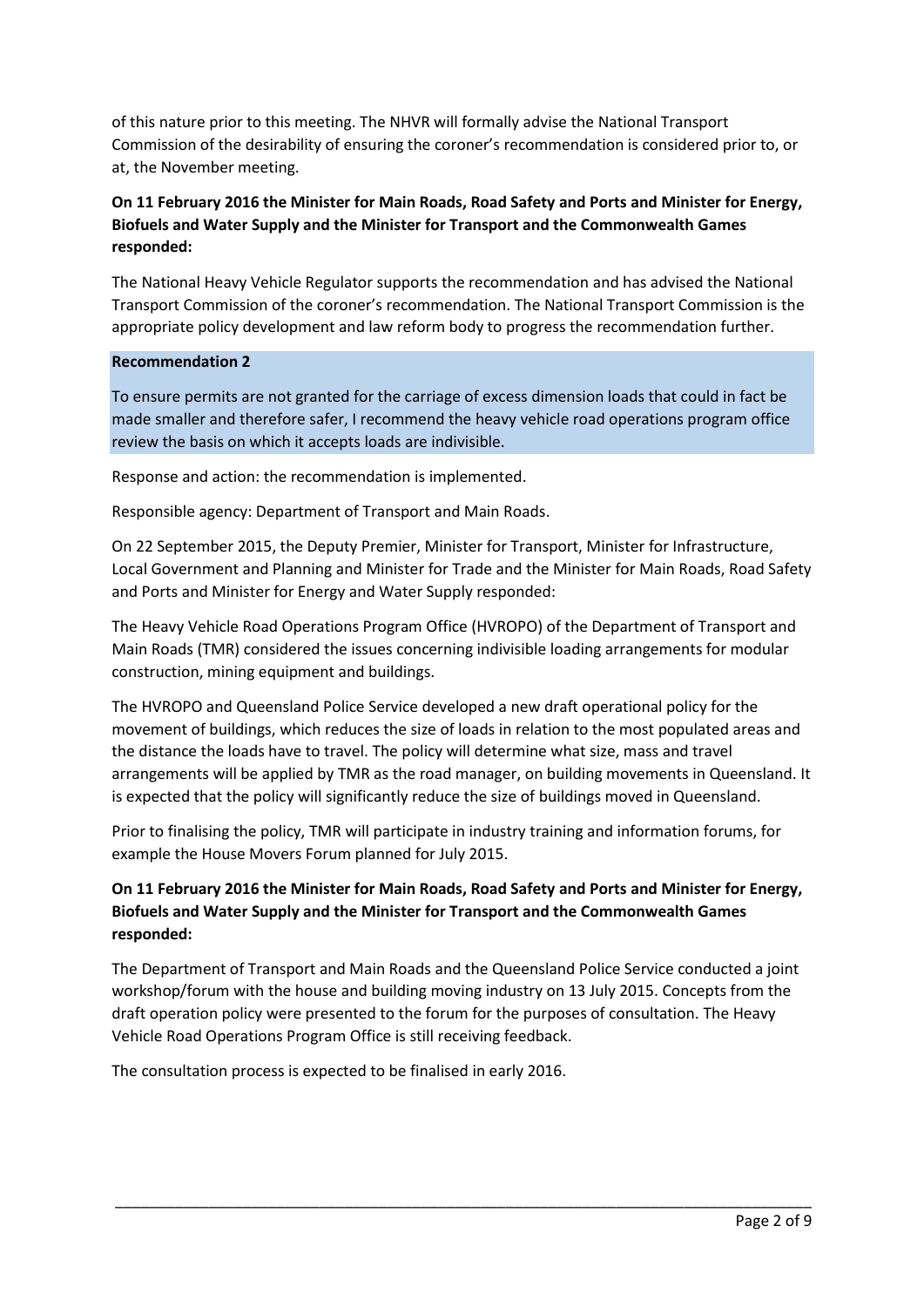of this nature prior to this meeting. The NHVR will formally advise the National Transport Commission of the desirability of ensuring the coroner's recommendation is considered prior to, or at, the November meeting.

# **On 11 February 2016 the Minister for Main Roads, Road Safety and Ports and Minister for Energy, Biofuels and Water Supply and the Minister for Transport and the Commonwealth Games responded:**

The National Heavy Vehicle Regulator supports the recommendation and has advised the National Transport Commission of the coroner's recommendation. The National Transport Commission is the appropriate policy development and law reform body to progress the recommendation further.

### **Recommendation 2**

To ensure permits are not granted for the carriage of excess dimension loads that could in fact be made smaller and therefore safer, I recommend the heavy vehicle road operations program office review the basis on which it accepts loads are indivisible.

Response and action: the recommendation is implemented.

Responsible agency: Department of Transport and Main Roads.

On 22 September 2015, the Deputy Premier, Minister for Transport, Minister for Infrastructure, Local Government and Planning and Minister for Trade and the Minister for Main Roads, Road Safety and Ports and Minister for Energy and Water Supply responded:

The Heavy Vehicle Road Operations Program Office (HVROPO) of the Department of Transport and Main Roads (TMR) considered the issues concerning indivisible loading arrangements for modular construction, mining equipment and buildings.

The HVROPO and Queensland Police Service developed a new draft operational policy for the movement of buildings, which reduces the size of loads in relation to the most populated areas and the distance the loads have to travel. The policy will determine what size, mass and travel arrangements will be applied by TMR as the road manager, on building movements in Queensland. It is expected that the policy will significantly reduce the size of buildings moved in Queensland.

Prior to finalising the policy, TMR will participate in industry training and information forums, for example the House Movers Forum planned for July 2015.

## **On 11 February 2016 the Minister for Main Roads, Road Safety and Ports and Minister for Energy, Biofuels and Water Supply and the Minister for Transport and the Commonwealth Games responded:**

The Department of Transport and Main Roads and the Queensland Police Service conducted a joint workshop/forum with the house and building moving industry on 13 July 2015. Concepts from the draft operation policy were presented to the forum for the purposes of consultation. The Heavy Vehicle Road Operations Program Office is still receiving feedback.

\_\_\_\_\_\_\_\_\_\_\_\_\_\_\_\_\_\_\_\_\_\_\_\_\_\_\_\_\_\_\_\_\_\_\_\_\_\_\_\_\_\_\_\_\_\_\_\_\_\_\_\_\_\_\_\_\_\_\_\_\_\_\_\_\_\_\_\_\_\_\_\_\_\_\_\_\_\_\_\_\_\_

The consultation process is expected to be finalised in early 2016.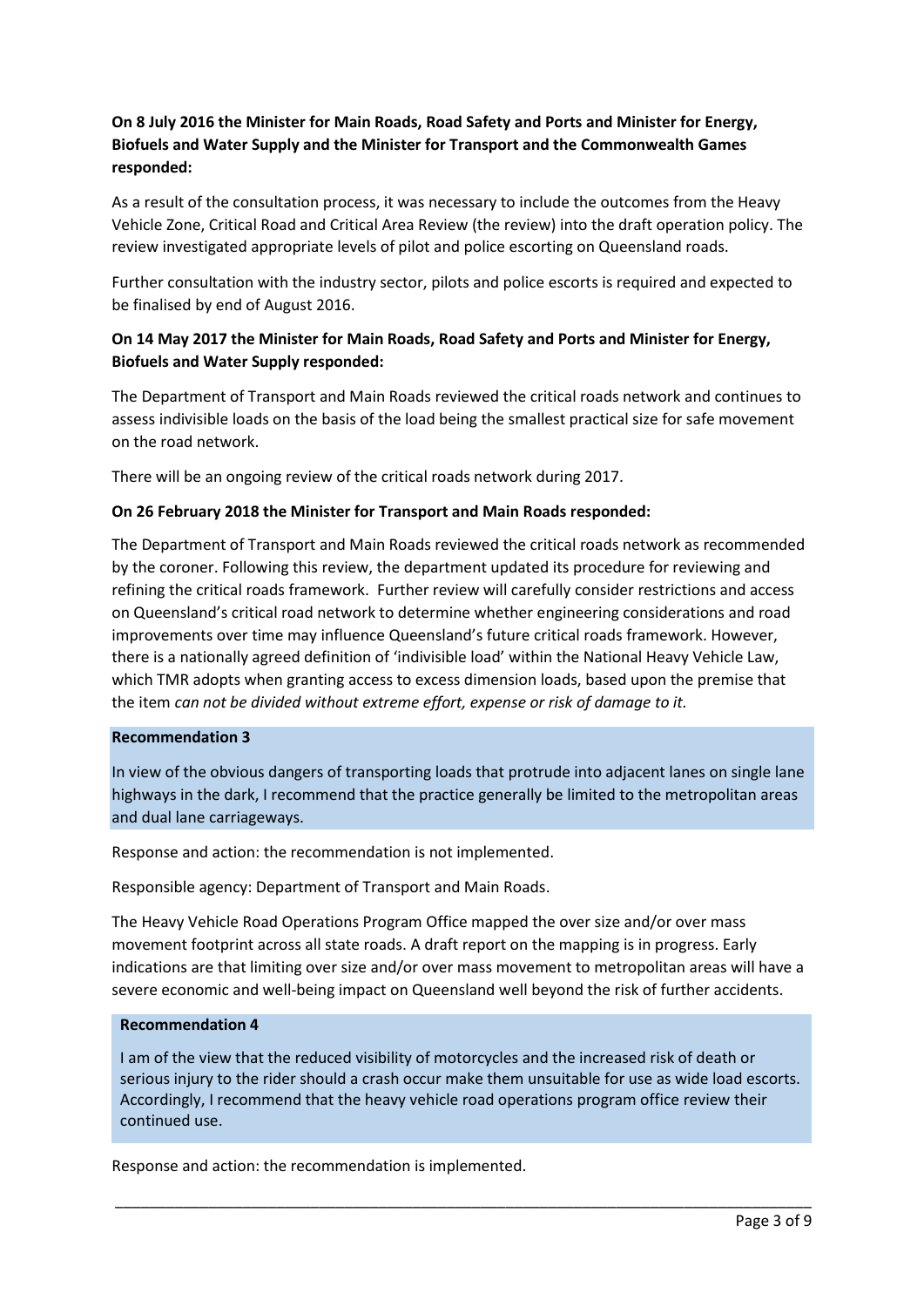## **On 8 July 2016 the Minister for Main Roads, Road Safety and Ports and Minister for Energy, Biofuels and Water Supply and the Minister for Transport and the Commonwealth Games responded:**

As a result of the consultation process, it was necessary to include the outcomes from the Heavy Vehicle Zone, Critical Road and Critical Area Review (the review) into the draft operation policy. The review investigated appropriate levels of pilot and police escorting on Queensland roads.

Further consultation with the industry sector, pilots and police escorts is required and expected to be finalised by end of August 2016.

## **On 14 May 2017 the Minister for Main Roads, Road Safety and Ports and Minister for Energy, Biofuels and Water Supply responded:**

The Department of Transport and Main Roads reviewed the critical roads network and continues to assess indivisible loads on the basis of the load being the smallest practical size for safe movement on the road network.

There will be an ongoing review of the critical roads network during 2017.

### **On 26 February 2018 the Minister for Transport and Main Roads responded:**

The Department of Transport and Main Roads reviewed the critical roads network as recommended by the coroner. Following this review, the department updated its procedure for reviewing and refining the critical roads framework. Further review will carefully consider restrictions and access on Queensland's critical road network to determine whether engineering considerations and road improvements over time may influence Queensland's future critical roads framework. However, there is a nationally agreed definition of 'indivisible load' within the National Heavy Vehicle Law, which TMR adopts when granting access to excess dimension loads, based upon the premise that the item *can not be divided without extreme effort, expense or risk of damage to it.*

### **Recommendation 3**

In view of the obvious dangers of transporting loads that protrude into adjacent lanes on single lane highways in the dark, I recommend that the practice generally be limited to the metropolitan areas and dual lane carriageways.

Response and action: the recommendation is not implemented.

Responsible agency: Department of Transport and Main Roads.

The Heavy Vehicle Road Operations Program Office mapped the over size and/or over mass movement footprint across all state roads. A draft report on the mapping is in progress. Early indications are that limiting over size and/or over mass movement to metropolitan areas will have a severe economic and well-being impact on Queensland well beyond the risk of further accidents.

### **Recommendation 4**

I am of the view that the reduced visibility of motorcycles and the increased risk of death or serious injury to the rider should a crash occur make them unsuitable for use as wide load escorts. Accordingly, I recommend that the heavy vehicle road operations program office review their continued use.

\_\_\_\_\_\_\_\_\_\_\_\_\_\_\_\_\_\_\_\_\_\_\_\_\_\_\_\_\_\_\_\_\_\_\_\_\_\_\_\_\_\_\_\_\_\_\_\_\_\_\_\_\_\_\_\_\_\_\_\_\_\_\_\_\_\_\_\_\_\_\_\_\_\_\_\_\_\_\_\_\_\_

Response and action: the recommendation is implemented.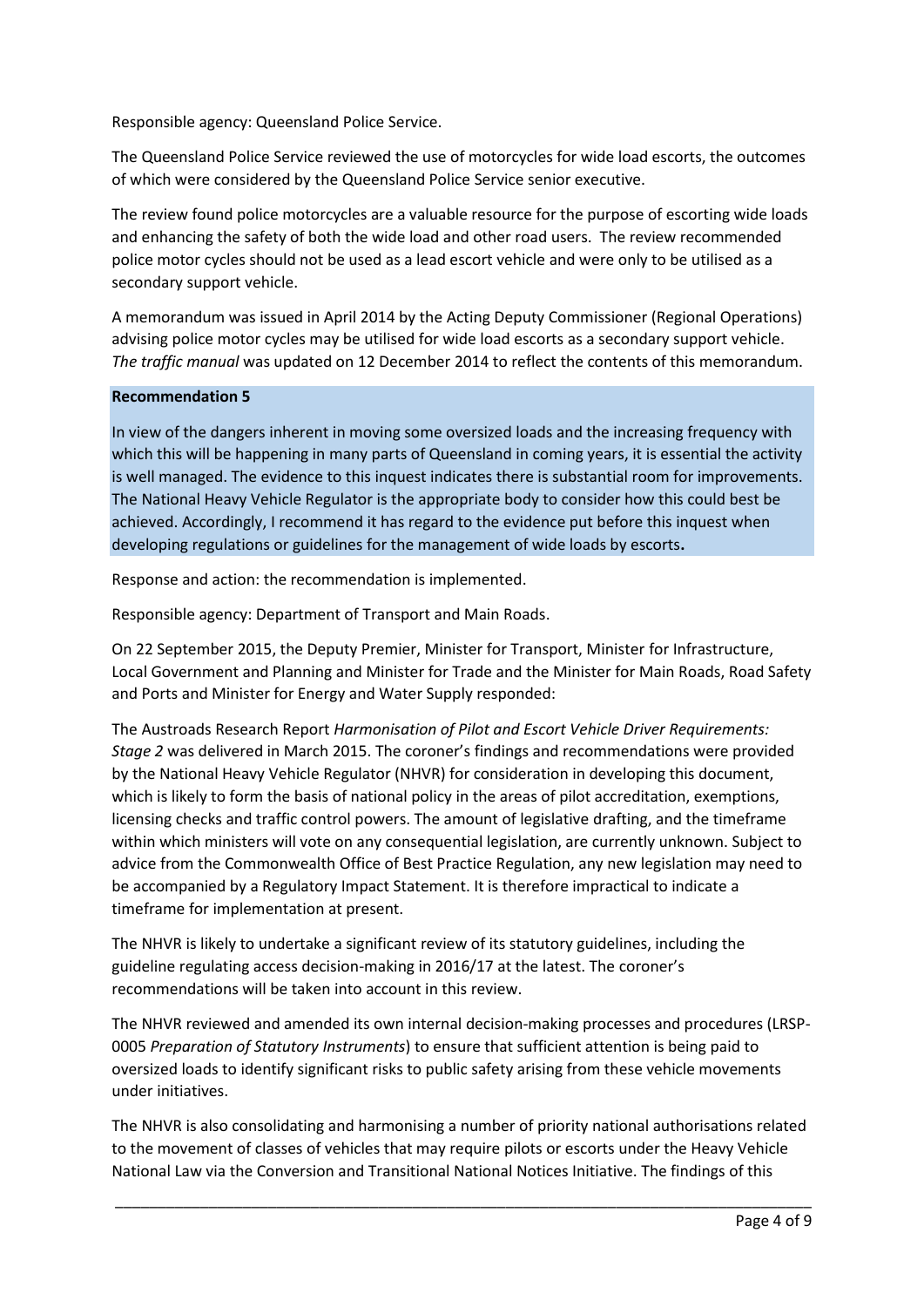Responsible agency: Queensland Police Service.

The Queensland Police Service reviewed the use of motorcycles for wide load escorts, the outcomes of which were considered by the Queensland Police Service senior executive.

The review found police motorcycles are a valuable resource for the purpose of escorting wide loads and enhancing the safety of both the wide load and other road users. The review recommended police motor cycles should not be used as a lead escort vehicle and were only to be utilised as a secondary support vehicle.

A memorandum was issued in April 2014 by the Acting Deputy Commissioner (Regional Operations) advising police motor cycles may be utilised for wide load escorts as a secondary support vehicle. *The traffic manual* was updated on 12 December 2014 to reflect the contents of this memorandum.

### **Recommendation 5**

In view of the dangers inherent in moving some oversized loads and the increasing frequency with which this will be happening in many parts of Queensland in coming years, it is essential the activity is well managed. The evidence to this inquest indicates there is substantial room for improvements. The National Heavy Vehicle Regulator is the appropriate body to consider how this could best be achieved. Accordingly, I recommend it has regard to the evidence put before this inquest when developing regulations or guidelines for the management of wide loads by escorts**.**

Response and action: the recommendation is implemented.

Responsible agency: Department of Transport and Main Roads.

On 22 September 2015, the Deputy Premier, Minister for Transport, Minister for Infrastructure, Local Government and Planning and Minister for Trade and the Minister for Main Roads, Road Safety and Ports and Minister for Energy and Water Supply responded:

The Austroads Research Report *Harmonisation of Pilot and Escort Vehicle Driver Requirements: Stage 2* was delivered in March 2015. The coroner's findings and recommendations were provided by the National Heavy Vehicle Regulator (NHVR) for consideration in developing this document, which is likely to form the basis of national policy in the areas of pilot accreditation, exemptions, licensing checks and traffic control powers. The amount of legislative drafting, and the timeframe within which ministers will vote on any consequential legislation, are currently unknown. Subject to advice from the Commonwealth Office of Best Practice Regulation, any new legislation may need to be accompanied by a Regulatory Impact Statement. It is therefore impractical to indicate a timeframe for implementation at present.

The NHVR is likely to undertake a significant review of its statutory guidelines, including the guideline regulating access decision-making in 2016/17 at the latest. The coroner's recommendations will be taken into account in this review.

The NHVR reviewed and amended its own internal decision-making processes and procedures (LRSP-0005 *Preparation of Statutory Instruments*) to ensure that sufficient attention is being paid to oversized loads to identify significant risks to public safety arising from these vehicle movements under initiatives.

The NHVR is also consolidating and harmonising a number of priority national authorisations related to the movement of classes of vehicles that may require pilots or escorts under the Heavy Vehicle National Law via the Conversion and Transitional National Notices Initiative. The findings of this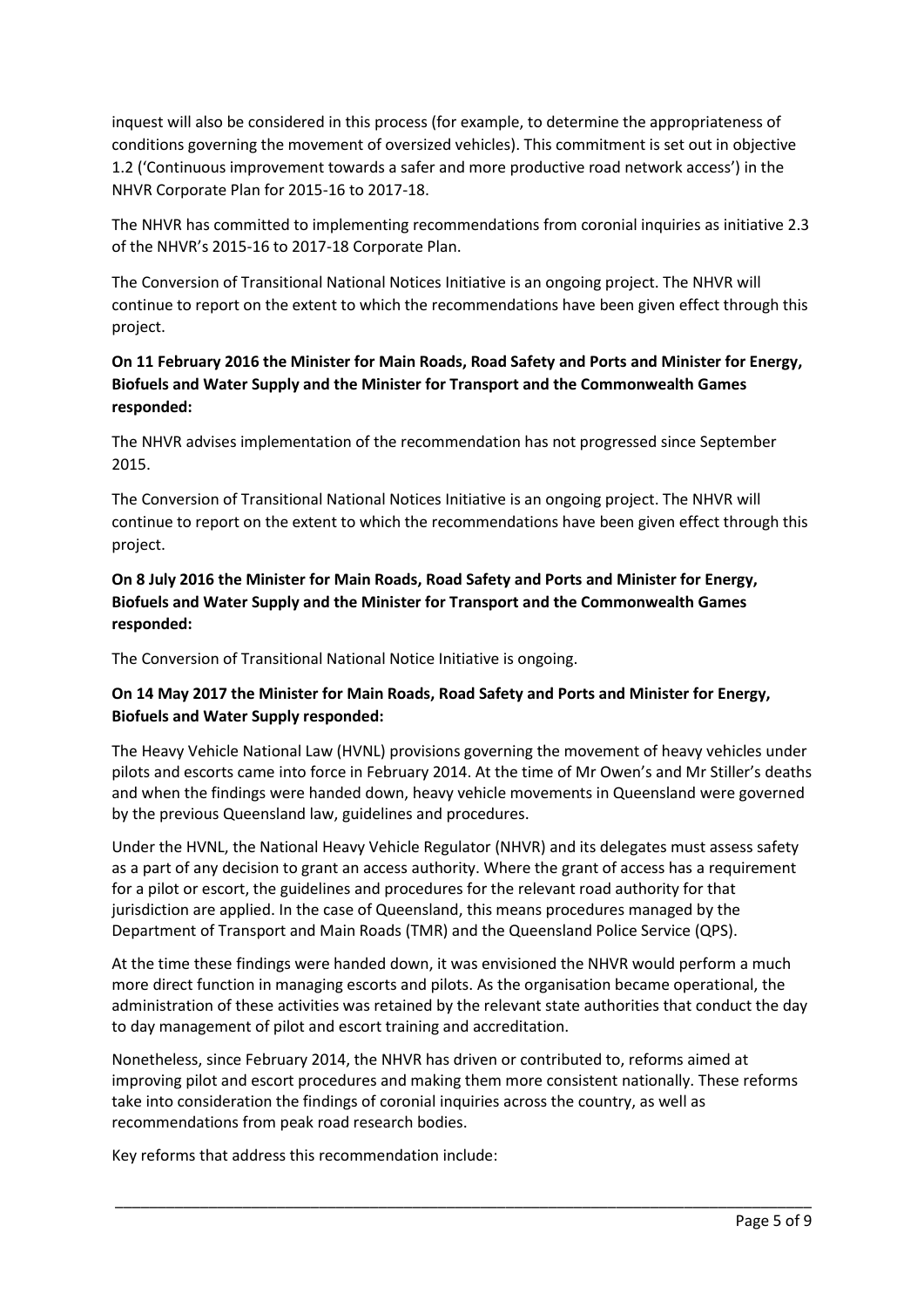inquest will also be considered in this process (for example, to determine the appropriateness of conditions governing the movement of oversized vehicles). This commitment is set out in objective 1.2 ('Continuous improvement towards a safer and more productive road network access') in the NHVR Corporate Plan for 2015-16 to 2017-18.

The NHVR has committed to implementing recommendations from coronial inquiries as initiative 2.3 of the NHVR's 2015-16 to 2017-18 Corporate Plan.

The Conversion of Transitional National Notices Initiative is an ongoing project. The NHVR will continue to report on the extent to which the recommendations have been given effect through this project.

## **On 11 February 2016 the Minister for Main Roads, Road Safety and Ports and Minister for Energy, Biofuels and Water Supply and the Minister for Transport and the Commonwealth Games responded:**

The NHVR advises implementation of the recommendation has not progressed since September 2015.

The Conversion of Transitional National Notices Initiative is an ongoing project. The NHVR will continue to report on the extent to which the recommendations have been given effect through this project.

## **On 8 July 2016 the Minister for Main Roads, Road Safety and Ports and Minister for Energy, Biofuels and Water Supply and the Minister for Transport and the Commonwealth Games responded:**

The Conversion of Transitional National Notice Initiative is ongoing.

# **On 14 May 2017 the Minister for Main Roads, Road Safety and Ports and Minister for Energy, Biofuels and Water Supply responded:**

The Heavy Vehicle National Law (HVNL) provisions governing the movement of heavy vehicles under pilots and escorts came into force in February 2014. At the time of Mr Owen's and Mr Stiller's deaths and when the findings were handed down, heavy vehicle movements in Queensland were governed by the previous Queensland law, guidelines and procedures.

Under the HVNL, the National Heavy Vehicle Regulator (NHVR) and its delegates must assess safety as a part of any decision to grant an access authority. Where the grant of access has a requirement for a pilot or escort, the guidelines and procedures for the relevant road authority for that jurisdiction are applied. In the case of Queensland, this means procedures managed by the Department of Transport and Main Roads (TMR) and the Queensland Police Service (QPS).

At the time these findings were handed down, it was envisioned the NHVR would perform a much more direct function in managing escorts and pilots. As the organisation became operational, the administration of these activities was retained by the relevant state authorities that conduct the day to day management of pilot and escort training and accreditation.

Nonetheless, since February 2014, the NHVR has driven or contributed to, reforms aimed at improving pilot and escort procedures and making them more consistent nationally. These reforms take into consideration the findings of coronial inquiries across the country, as well as recommendations from peak road research bodies.

\_\_\_\_\_\_\_\_\_\_\_\_\_\_\_\_\_\_\_\_\_\_\_\_\_\_\_\_\_\_\_\_\_\_\_\_\_\_\_\_\_\_\_\_\_\_\_\_\_\_\_\_\_\_\_\_\_\_\_\_\_\_\_\_\_\_\_\_\_\_\_\_\_\_\_\_\_\_\_\_\_\_

Key reforms that address this recommendation include: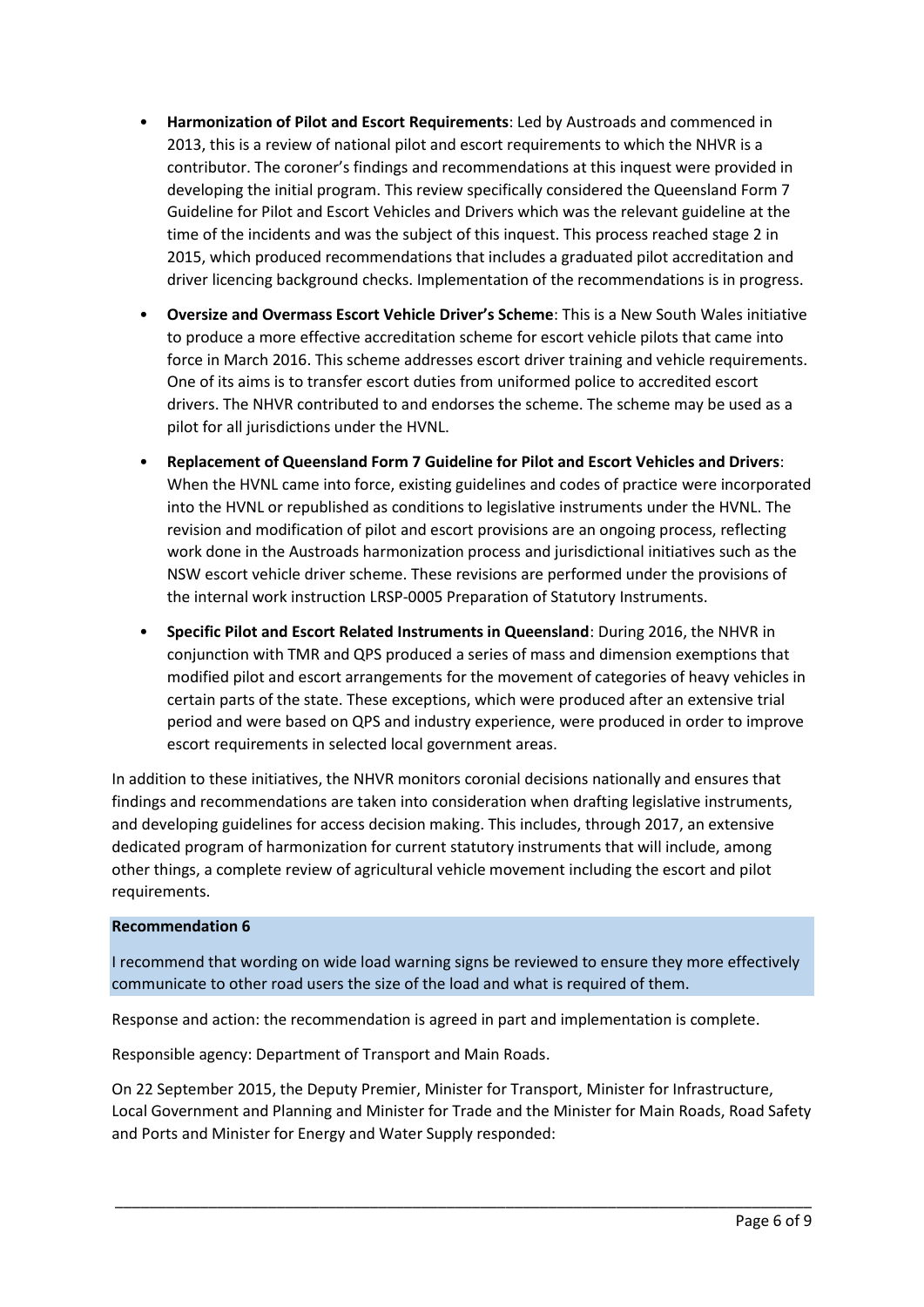- **Harmonization of Pilot and Escort Requirements**: Led by Austroads and commenced in 2013, this is a review of national pilot and escort requirements to which the NHVR is a contributor. The coroner's findings and recommendations at this inquest were provided in developing the initial program. This review specifically considered the Queensland Form 7 Guideline for Pilot and Escort Vehicles and Drivers which was the relevant guideline at the time of the incidents and was the subject of this inquest. This process reached stage 2 in 2015, which produced recommendations that includes a graduated pilot accreditation and driver licencing background checks. Implementation of the recommendations is in progress.
- **Oversize and Overmass Escort Vehicle Driver's Scheme**: This is a New South Wales initiative to produce a more effective accreditation scheme for escort vehicle pilots that came into force in March 2016. This scheme addresses escort driver training and vehicle requirements. One of its aims is to transfer escort duties from uniformed police to accredited escort drivers. The NHVR contributed to and endorses the scheme. The scheme may be used as a pilot for all jurisdictions under the HVNL.
- **Replacement of Queensland Form 7 Guideline for Pilot and Escort Vehicles and Drivers**: When the HVNL came into force, existing guidelines and codes of practice were incorporated into the HVNL or republished as conditions to legislative instruments under the HVNL. The revision and modification of pilot and escort provisions are an ongoing process, reflecting work done in the Austroads harmonization process and jurisdictional initiatives such as the NSW escort vehicle driver scheme. These revisions are performed under the provisions of the internal work instruction LRSP-0005 Preparation of Statutory Instruments.
- **Specific Pilot and Escort Related Instruments in Queensland**: During 2016, the NHVR in conjunction with TMR and QPS produced a series of mass and dimension exemptions that modified pilot and escort arrangements for the movement of categories of heavy vehicles in certain parts of the state. These exceptions, which were produced after an extensive trial period and were based on QPS and industry experience, were produced in order to improve escort requirements in selected local government areas.

In addition to these initiatives, the NHVR monitors coronial decisions nationally and ensures that findings and recommendations are taken into consideration when drafting legislative instruments, and developing guidelines for access decision making. This includes, through 2017, an extensive dedicated program of harmonization for current statutory instruments that will include, among other things, a complete review of agricultural vehicle movement including the escort and pilot requirements.

### **Recommendation 6**

I recommend that wording on wide load warning signs be reviewed to ensure they more effectively communicate to other road users the size of the load and what is required of them.

Response and action: the recommendation is agreed in part and implementation is complete.

Responsible agency: Department of Transport and Main Roads.

On 22 September 2015, the Deputy Premier, Minister for Transport, Minister for Infrastructure, Local Government and Planning and Minister for Trade and the Minister for Main Roads, Road Safety and Ports and Minister for Energy and Water Supply responded: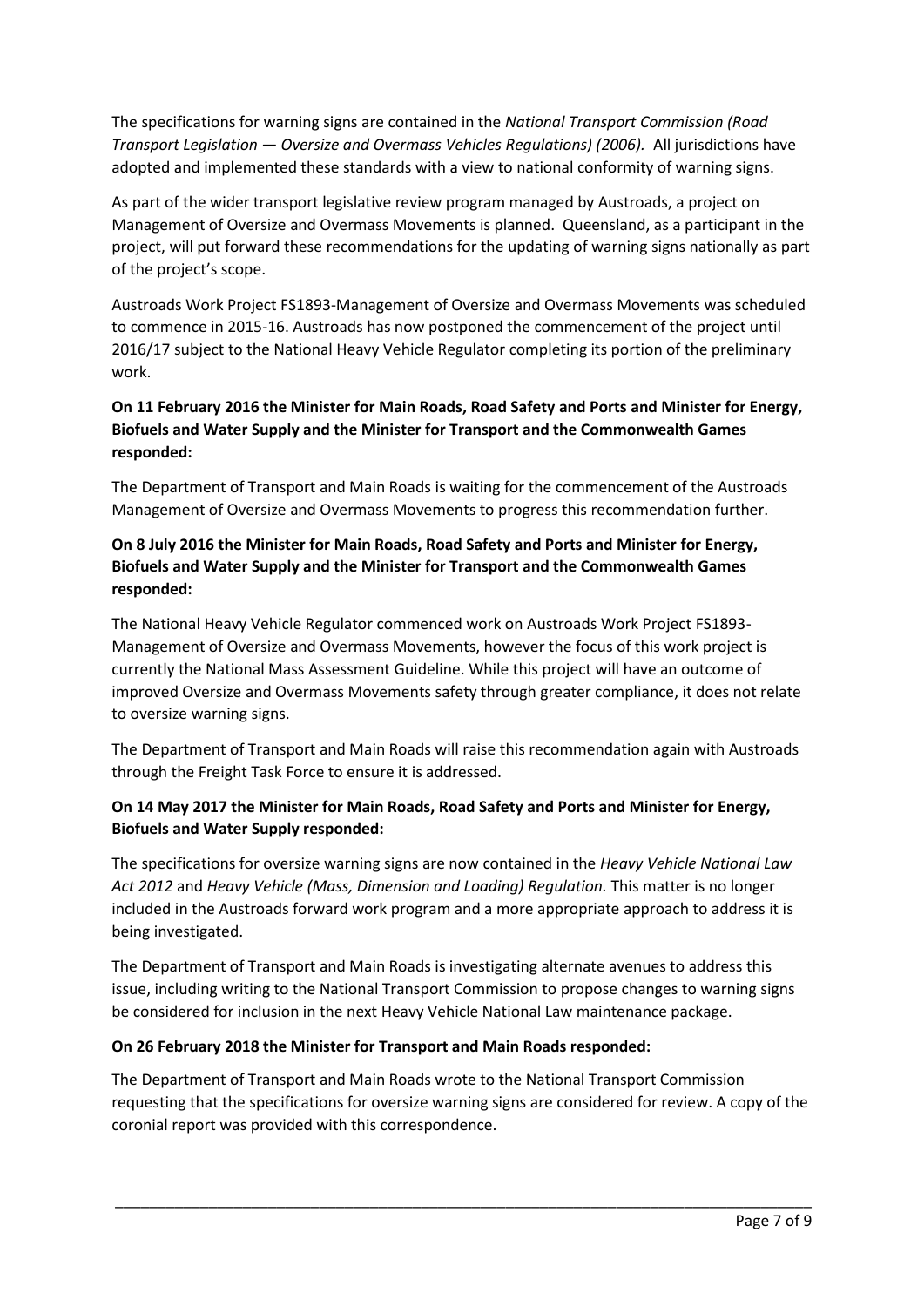The specifications for warning signs are contained in the *National Transport Commission (Road Transport Legislation — Oversize and Overmass Vehicles Regulations) (2006).* All jurisdictions have adopted and implemented these standards with a view to national conformity of warning signs.

As part of the wider transport legislative review program managed by Austroads, a project on Management of Oversize and Overmass Movements is planned. Queensland, as a participant in the project, will put forward these recommendations for the updating of warning signs nationally as part of the project's scope.

Austroads Work Project FS1893-Management of Oversize and Overmass Movements was scheduled to commence in 2015-16. Austroads has now postponed the commencement of the project until 2016/17 subject to the National Heavy Vehicle Regulator completing its portion of the preliminary work.

# **On 11 February 2016 the Minister for Main Roads, Road Safety and Ports and Minister for Energy, Biofuels and Water Supply and the Minister for Transport and the Commonwealth Games responded:**

The Department of Transport and Main Roads is waiting for the commencement of the Austroads Management of Oversize and Overmass Movements to progress this recommendation further.

# **On 8 July 2016 the Minister for Main Roads, Road Safety and Ports and Minister for Energy, Biofuels and Water Supply and the Minister for Transport and the Commonwealth Games responded:**

The National Heavy Vehicle Regulator commenced work on Austroads Work Project FS1893- Management of Oversize and Overmass Movements, however the focus of this work project is currently the National Mass Assessment Guideline. While this project will have an outcome of improved Oversize and Overmass Movements safety through greater compliance, it does not relate to oversize warning signs.

The Department of Transport and Main Roads will raise this recommendation again with Austroads through the Freight Task Force to ensure it is addressed.

# **On 14 May 2017 the Minister for Main Roads, Road Safety and Ports and Minister for Energy, Biofuels and Water Supply responded:**

The specifications for oversize warning signs are now contained in the *Heavy Vehicle National Law Act 2012* and *Heavy Vehicle (Mass, Dimension and Loading) Regulation.* This matter is no longer included in the Austroads forward work program and a more appropriate approach to address it is being investigated.

The Department of Transport and Main Roads is investigating alternate avenues to address this issue, including writing to the National Transport Commission to propose changes to warning signs be considered for inclusion in the next Heavy Vehicle National Law maintenance package.

### **On 26 February 2018 the Minister for Transport and Main Roads responded:**

The Department of Transport and Main Roads wrote to the National Transport Commission requesting that the specifications for oversize warning signs are considered for review. A copy of the coronial report was provided with this correspondence.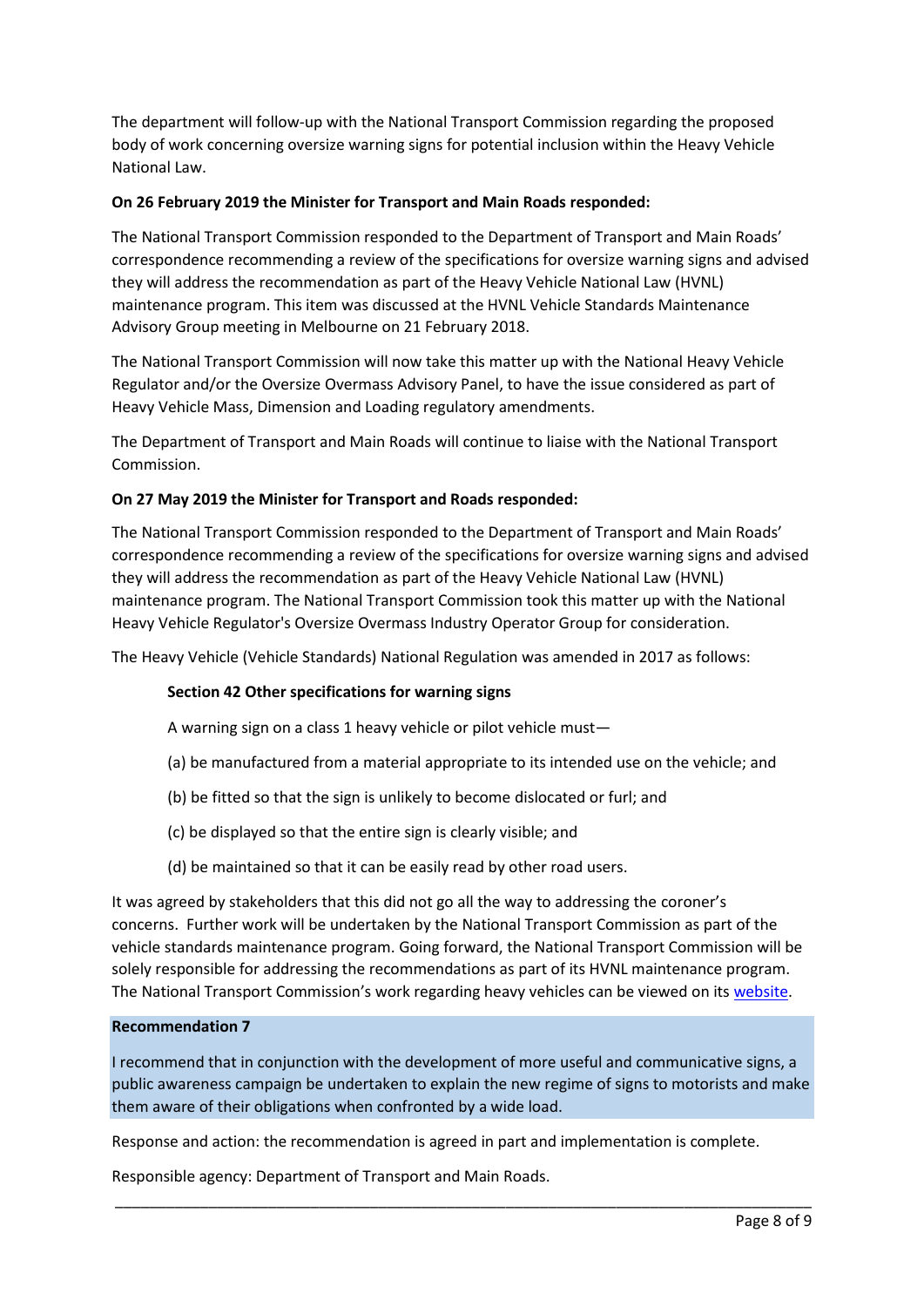The department will follow-up with the National Transport Commission regarding the proposed body of work concerning oversize warning signs for potential inclusion within the Heavy Vehicle National Law.

### **On 26 February 2019 the Minister for Transport and Main Roads responded:**

The National Transport Commission responded to the Department of Transport and Main Roads' correspondence recommending a review of the specifications for oversize warning signs and advised they will address the recommendation as part of the Heavy Vehicle National Law (HVNL) maintenance program. This item was discussed at the HVNL Vehicle Standards Maintenance Advisory Group meeting in Melbourne on 21 February 2018.

The National Transport Commission will now take this matter up with the National Heavy Vehicle Regulator and/or the Oversize Overmass Advisory Panel, to have the issue considered as part of Heavy Vehicle Mass, Dimension and Loading regulatory amendments.

The Department of Transport and Main Roads will continue to liaise with the National Transport Commission.

### **On 27 May 2019 the Minister for Transport and Roads responded:**

The National Transport Commission responded to the Department of Transport and Main Roads' correspondence recommending a review of the specifications for oversize warning signs and advised they will address the recommendation as part of the Heavy Vehicle National Law (HVNL) maintenance program. The National Transport Commission took this matter up with the National Heavy Vehicle Regulator's Oversize Overmass Industry Operator Group for consideration.

The Heavy Vehicle (Vehicle Standards) National Regulation was amended in 2017 as follows:

### **Section 42 Other specifications for warning signs**

A warning sign on a class 1 heavy vehicle or pilot vehicle must—

- (a) be manufactured from a material appropriate to its intended use on the vehicle; and
- (b) be fitted so that the sign is unlikely to become dislocated or furl; and
- (c) be displayed so that the entire sign is clearly visible; and
- (d) be maintained so that it can be easily read by other road users.

It was agreed by stakeholders that this did not go all the way to addressing the coroner's concerns. Further work will be undertaken by the National Transport Commission as part of the vehicle standards maintenance program. Going forward, the National Transport Commission will be solely responsible for addressing the recommendations as part of its HVNL maintenance program. The National Transport Commission's work regarding heavy vehicles can be viewed on it[s website.](https://www.ntc.gov.au/heavy-vehicles/safety/load-restraint-guide/)

### **Recommendation 7**

I recommend that in conjunction with the development of more useful and communicative signs, a public awareness campaign be undertaken to explain the new regime of signs to motorists and make them aware of their obligations when confronted by a wide load.

\_\_\_\_\_\_\_\_\_\_\_\_\_\_\_\_\_\_\_\_\_\_\_\_\_\_\_\_\_\_\_\_\_\_\_\_\_\_\_\_\_\_\_\_\_\_\_\_\_\_\_\_\_\_\_\_\_\_\_\_\_\_\_\_\_\_\_\_\_\_\_\_\_\_\_\_\_\_\_\_\_\_

Response and action: the recommendation is agreed in part and implementation is complete.

Responsible agency: Department of Transport and Main Roads.